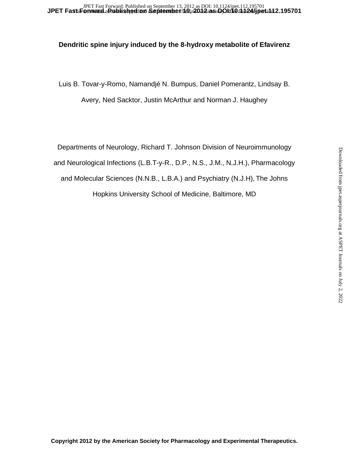## **Dendritic spine injury induced by the 8-hydroxy metabolite of Efavirenz**

Luis B. Tovar-y-Romo, Namandjé N. Bumpus, Daniel Pomerantz, Lindsay B. Avery, Ned Sacktor, Justin McArthur and Norman J. Haughey

Departments of Neurology, Richard T. Johnson Division of Neuroimmunology and Neurological Infections (L.B.T-y-R., D.P., N.S., J.M., N.J.H.), Pharmacology and Molecular Sciences (N.N.B., L.B.A.) and Psychiatry (N.J.H), The Johns Hopkins University School of Medicine, Baltimore, MD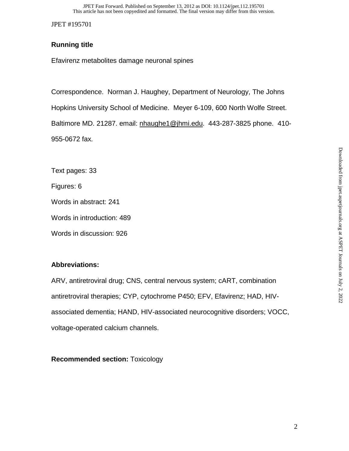# **Running title**

Efavirenz metabolites damage neuronal spines

Correspondence. Norman J. Haughey, Department of Neurology, The Johns

Hopkins University School of Medicine. Meyer 6-109, 600 North Wolfe Street.

Baltimore MD. 21287. email: nhaughe1@jhmi.edu. 443-287-3825 phone. 410- 955-0672 fax.

Text pages: 33

Figures: 6

Words in abstract: 241

Words in introduction: 489

Words in discussion: 926

# **Abbreviations:**

ARV, antiretroviral drug; CNS, central nervous system; cART, combination antiretroviral therapies; CYP, cytochrome P450; EFV, Efavirenz; HAD, HIVassociated dementia; HAND, HIV-associated neurocognitive disorders; VOCC, voltage-operated calcium channels.

**Recommended section:** Toxicology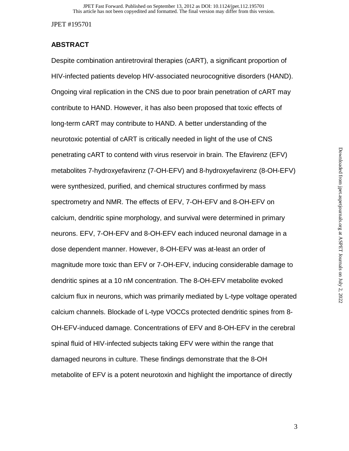## **ABSTRACT**

Despite combination antiretroviral therapies (cART), a significant proportion of HIV-infected patients develop HIV-associated neurocognitive disorders (HAND). Ongoing viral replication in the CNS due to poor brain penetration of cART may contribute to HAND. However, it has also been proposed that toxic effects of long-term cART may contribute to HAND. A better understanding of the neurotoxic potential of cART is critically needed in light of the use of CNS penetrating cART to contend with virus reservoir in brain. The Efavirenz (EFV) metabolites 7-hydroxyefavirenz (7-OH-EFV) and 8-hydroxyefavirenz (8-OH-EFV) were synthesized, purified, and chemical structures confirmed by mass spectrometry and NMR. The effects of EFV, 7-OH-EFV and 8-OH-EFV on calcium, dendritic spine morphology, and survival were determined in primary neurons. EFV, 7-OH-EFV and 8-OH-EFV each induced neuronal damage in a dose dependent manner. However, 8-OH-EFV was at-least an order of magnitude more toxic than EFV or 7-OH-EFV, inducing considerable damage to dendritic spines at a 10 nM concentration. The 8-OH-EFV metabolite evoked calcium flux in neurons, which was primarily mediated by L-type voltage operated calcium channels. Blockade of L-type VOCCs protected dendritic spines from 8- OH-EFV-induced damage. Concentrations of EFV and 8-OH-EFV in the cerebral spinal fluid of HIV-infected subjects taking EFV were within the range that damaged neurons in culture. These findings demonstrate that the 8-OH metabolite of EFV is a potent neurotoxin and highlight the importance of directly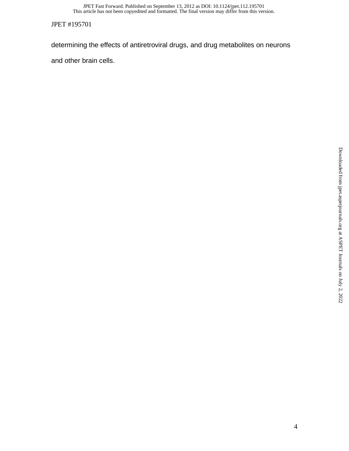This article has not been copyedited and formatted. The final version may differ from this version. JPET Fast Forward. Published on September 13, 2012 as DOI: 10.1124/jpet.112.195701

JPET #195701

determining the effects of antiretroviral drugs, and drug metabolites on neurons

and other brain cells.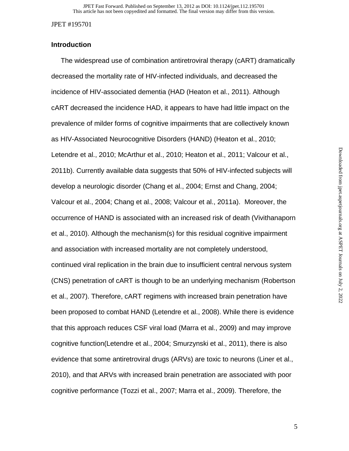## **Introduction**

 The widespread use of combination antiretroviral therapy (cART) dramatically decreased the mortality rate of HIV-infected individuals, and decreased the incidence of HIV-associated dementia (HAD (Heaton et al., 2011). Although cART decreased the incidence HAD, it appears to have had little impact on the prevalence of milder forms of cognitive impairments that are collectively known as HIV-Associated Neurocognitive Disorders (HAND) (Heaton et al., 2010; Letendre et al., 2010; McArthur et al., 2010; Heaton et al., 2011; Valcour et al., 2011b). Currently available data suggests that 50% of HIV-infected subjects will develop a neurologic disorder (Chang et al., 2004; Ernst and Chang, 2004; Valcour et al., 2004; Chang et al., 2008; Valcour et al., 2011a). Moreover, the occurrence of HAND is associated with an increased risk of death (Vivithanaporn et al., 2010). Although the mechanism(s) for this residual cognitive impairment and association with increased mortality are not completely understood, continued viral replication in the brain due to insufficient central nervous system (CNS) penetration of cART is though to be an underlying mechanism (Robertson et al., 2007). Therefore, cART regimens with increased brain penetration have been proposed to combat HAND (Letendre et al., 2008). While there is evidence that this approach reduces CSF viral load (Marra et al., 2009) and may improve cognitive function(Letendre et al., 2004; Smurzynski et al., 2011), there is also evidence that some antiretroviral drugs (ARVs) are toxic to neurons (Liner et al., 2010), and that ARVs with increased brain penetration are associated with poor cognitive performance (Tozzi et al., 2007; Marra et al., 2009). Therefore, the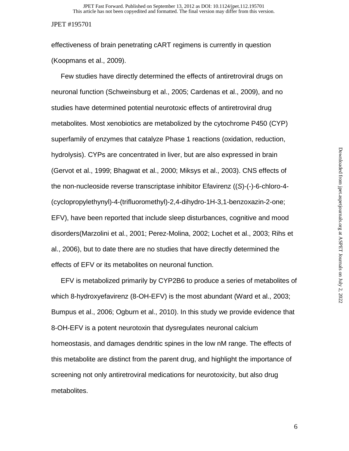effectiveness of brain penetrating cART regimens is currently in question (Koopmans et al., 2009).

 Few studies have directly determined the effects of antiretroviral drugs on neuronal function (Schweinsburg et al., 2005; Cardenas et al., 2009), and no studies have determined potential neurotoxic effects of antiretroviral drug metabolites. Most xenobiotics are metabolized by the cytochrome P450 (CYP) superfamily of enzymes that catalyze Phase 1 reactions (oxidation, reduction, hydrolysis). CYPs are concentrated in liver, but are also expressed in brain (Gervot et al., 1999; Bhagwat et al., 2000; Miksys et al., 2003). CNS effects of the non-nucleoside reverse transcriptase inhibitor Efavirenz ((*S*)-(-)-6-chloro-4- (cyclopropylethynyl)-4-(trifluoromethyl)-2,4-dihydro-1H-3,1-benzoxazin-2-one; EFV), have been reported that include sleep disturbances, cognitive and mood disorders(Marzolini et al., 2001; Perez-Molina, 2002; Lochet et al., 2003; Rihs et al., 2006), but to date there are no studies that have directly determined the effects of EFV or its metabolites on neuronal function.

 EFV is metabolized primarily by CYP2B6 to produce a series of metabolites of which 8-hydroxyefavirenz (8-OH-EFV) is the most abundant (Ward et al., 2003; Bumpus et al., 2006; Ogburn et al., 2010). In this study we provide evidence that 8-OH-EFV is a potent neurotoxin that dysregulates neuronal calcium homeostasis, and damages dendritic spines in the low nM range. The effects of this metabolite are distinct from the parent drug, and highlight the importance of screening not only antiretroviral medications for neurotoxicity, but also drug metabolites.

6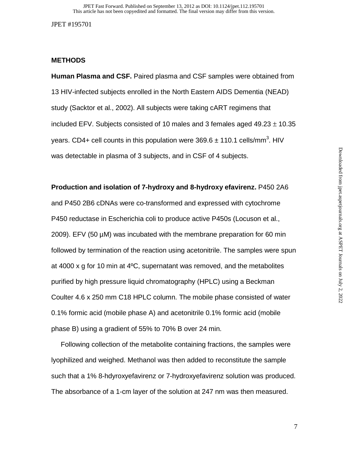## **METHODS**

**Human Plasma and CSF.** Paired plasma and CSF samples were obtained from 13 HIV-infected subjects enrolled in the North Eastern AIDS Dementia (NEAD) study (Sacktor et al., 2002). All subjects were taking cART regimens that included EFV. Subjects consisted of 10 males and 3 females aged  $49.23 \pm 10.35$ years. CD4+ cell counts in this population were 369.6  $\pm$  110.1 cells/mm<sup>3</sup>. HIV was detectable in plasma of 3 subjects, and in CSF of 4 subjects.

# **Production and isolation of 7-hydroxy and 8-hydroxy efavirenz.** P450 2A6

and P450 2B6 cDNAs were co-transformed and expressed with cytochrome P450 reductase in Escherichia coli to produce active P450s (Locuson et al., 2009). EFV (50 µM) was incubated with the membrane preparation for 60 min followed by termination of the reaction using acetonitrile. The samples were spun at 4000 x g for 10 min at 4ºC, supernatant was removed, and the metabolites purified by high pressure liquid chromatography (HPLC) using a Beckman Coulter 4.6 x 250 mm C18 HPLC column. The mobile phase consisted of water 0.1% formic acid (mobile phase A) and acetonitrile 0.1% formic acid (mobile phase B) using a gradient of 55% to 70% B over 24 min.

 Following collection of the metabolite containing fractions, the samples were lyophilized and weighed. Methanol was then added to reconstitute the sample such that a 1% 8-hdyroxyefavirenz or 7-hydroxyefavirenz solution was produced. The absorbance of a 1-cm layer of the solution at 247 nm was then measured.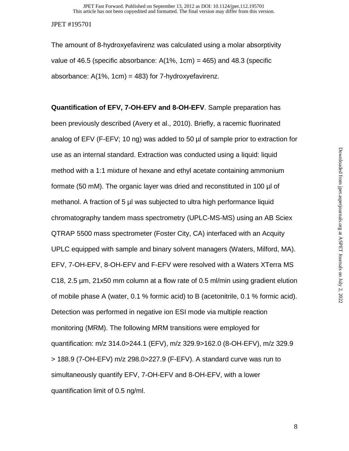The amount of 8-hydroxyefavirenz was calculated using a molar absorptivity value of 46.5 (specific absorbance: A(1%, 1cm) *=* 465) and 48.3 (specific absorbance:  $A(1\% \, 1cm) = 483$ ) for 7-hydroxyefavirenz.

**Quantification of EFV, 7-OH-EFV and 8-OH-EFV**. Sample preparation has been previously described (Avery et al., 2010). Briefly, a racemic fluorinated analog of EFV (F-EFV; 10 ng) was added to 50 µl of sample prior to extraction for use as an internal standard. Extraction was conducted using a liquid: liquid method with a 1:1 mixture of hexane and ethyl acetate containing ammonium formate (50 mM). The organic layer was dried and reconstituted in 100 µl of methanol. A fraction of 5 µl was subjected to ultra high performance liquid chromatography tandem mass spectrometry (UPLC-MS-MS) using an AB Sciex QTRAP 5500 mass spectrometer (Foster City, CA) interfaced with an Acquity UPLC equipped with sample and binary solvent managers (Waters, Milford, MA). EFV, 7-OH-EFV, 8-OH-EFV and F-EFV were resolved with a Waters XTerra MS C18, 2.5 µm, 21x50 mm column at a flow rate of 0.5 ml/min using gradient elution of mobile phase A (water, 0.1 % formic acid) to B (acetonitrile, 0.1 % formic acid). Detection was performed in negative ion ESI mode via multiple reaction monitoring (MRM). The following MRM transitions were employed for quantification: m/z 314.0>244.1 (EFV), m/z 329.9>162.0 (8-OH-EFV), m/z 329.9 > 188.9 (7-OH-EFV) m/z 298.0>227.9 (F-EFV). A standard curve was run to simultaneously quantify EFV, 7-OH-EFV and 8-OH-EFV, with a lower quantification limit of 0.5 ng/ml.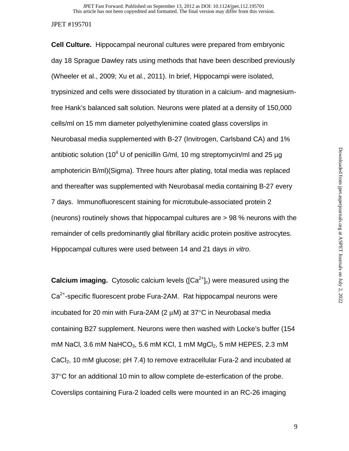**Cell Culture.** Hippocampal neuronal cultures were prepared from embryonic day 18 Sprague Dawley rats using methods that have been described previously (Wheeler et al., 2009; Xu et al., 2011). In brief, Hippocampi were isolated, trypsinized and cells were dissociated by tituration in a calcium- and magnesiumfree Hank's balanced salt solution. Neurons were plated at a density of 150,000 cells/ml on 15 mm diameter polyethylenimine coated glass coverslips in Neurobasal media supplemented with B-27 (Invitrogen, Carlsband CA) and 1% antibiotic solution (10<sup>4</sup> U of penicillin G/ml, 10 mg streptomycin/ml and 25  $\mu$ g amphotericin B/ml)(Sigma). Three hours after plating, total media was replaced and thereafter was supplemented with Neurobasal media containing B-27 every 7 days. Immunofluorescent staining for microtubule-associated protein 2 (neurons) routinely shows that hippocampal cultures are > 98 % neurons with the remainder of cells predominantly glial fibrillary acidic protein positive astrocytes. Hippocampal cultures were used between 14 and 21 days *in vitro*.

**Calcium imaging.** Cytosolic calcium levels ( $[Ca<sup>2+</sup>]_{c}$ ) were measured using the Ca<sup>2+</sup>-specific fluorescent probe Fura-2AM. Rat hippocampal neurons were incubated for 20 min with Fura-2AM (2 μM) at 37°C in Neurobasal media containing B27 supplement. Neurons were then washed with Locke's buffer (154 mM NaCl, 3.6 mM NaHCO<sub>3</sub>, 5.6 mM KCl, 1 mM MgCl<sub>2</sub>, 5 mM HEPES, 2.3 mM CaCl<sub>2</sub>, 10 mM glucose; pH 7.4) to remove extracellular Fura-2 and incubated at 37°C for an additional 10 min to allow complete de-esterfication of the probe. Coverslips containing Fura-2 loaded cells were mounted in an RC-26 imaging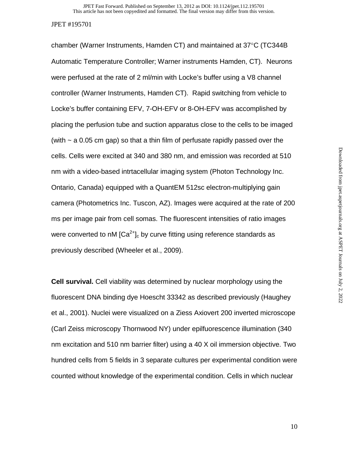chamber (Warner Instruments, Hamden CT) and maintained at 37°C (TC344B Automatic Temperature Controller; Warner instruments Hamden, CT). Neurons were perfused at the rate of 2 ml/min with Locke's buffer using a V8 channel controller (Warner Instruments, Hamden CT). Rapid switching from vehicle to Locke's buffer containing EFV, 7-OH-EFV or 8-OH-EFV was accomplished by placing the perfusion tube and suction apparatus close to the cells to be imaged (with  $\sim$  a 0.05 cm gap) so that a thin film of perfusate rapidly passed over the cells. Cells were excited at 340 and 380 nm, and emission was recorded at 510 nm with a video-based intrtacellular imaging system (Photon Technology Inc. Ontario, Canada) equipped with a QuantEM 512sc electron-multiplying gain camera (Photometrics Inc. Tuscon, AZ). Images were acquired at the rate of 200 ms per image pair from cell somas. The fluorescent intensities of ratio images were converted to nM  $[Ca^{2+}]_c$  by curve fitting using reference standards as previously described (Wheeler et al., 2009).

**Cell survival.** Cell viability was determined by nuclear morphology using the fluorescent DNA binding dye Hoescht 33342 as described previously (Haughey et al., 2001). Nuclei were visualized on a Ziess Axiovert 200 inverted microscope (Carl Zeiss microscopy Thornwood NY) under epilfuorescence illumination (340 nm excitation and 510 nm barrier filter) using a 40 X oil immersion objective. Two hundred cells from 5 fields in 3 separate cultures per experimental condition were counted without knowledge of the experimental condition. Cells in which nuclear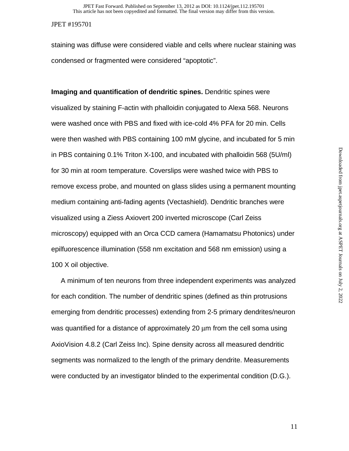staining was diffuse were considered viable and cells where nuclear staining was condensed or fragmented were considered "apoptotic".

**Imaging and quantification of dendritic spines.** Dendritic spines were visualized by staining F-actin with phalloidin conjugated to Alexa 568. Neurons were washed once with PBS and fixed with ice-cold 4% PFA for 20 min. Cells were then washed with PBS containing 100 mM glycine, and incubated for 5 min in PBS containing 0.1% Triton X-100, and incubated with phalloidin 568 (5U/ml) for 30 min at room temperature. Coverslips were washed twice with PBS to remove excess probe, and mounted on glass slides using a permanent mounting medium containing anti-fading agents (Vectashield). Dendritic branches were visualized using a Ziess Axiovert 200 inverted microscope (Carl Zeiss microscopy) equipped with an Orca CCD camera (Hamamatsu Photonics) under epilfuorescence illumination (558 nm excitation and 568 nm emission) using a 100 X oil objective.

 A minimum of ten neurons from three independent experiments was analyzed for each condition. The number of dendritic spines (defined as thin protrusions emerging from dendritic processes) extending from 2-5 primary dendrites/neuron was quantified for a distance of approximately 20 μm from the cell soma using AxioVision 4.8.2 (Carl Zeiss Inc). Spine density across all measured dendritic segments was normalized to the length of the primary dendrite. Measurements were conducted by an investigator blinded to the experimental condition (D.G.).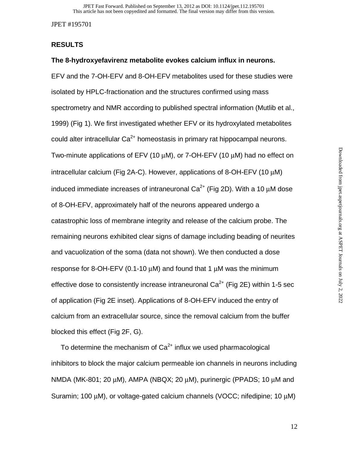## **RESULTS**

## **The 8-hydroxyefavirenz metabolite evokes calcium influx in neurons.**

EFV and the 7-OH-EFV and 8-OH-EFV metabolites used for these studies were isolated by HPLC-fractionation and the structures confirmed using mass spectrometry and NMR according to published spectral information (Mutlib et al., 1999) (Fig 1). We first investigated whether EFV or its hydroxylated metabolites could alter intracellular  $Ca^{2+}$  homeostasis in primary rat hippocampal neurons. Two-minute applications of EFV (10  $\mu$ M), or 7-OH-EFV (10  $\mu$ M) had no effect on intracellular calcium (Fig 2A-C). However, applications of 8-OH-EFV (10 μM) induced immediate increases of intraneuronal  $Ca<sup>2+</sup>$  (Fig 2D). With a 10  $\mu$ M dose of 8-OH-EFV, approximately half of the neurons appeared undergo a catastrophic loss of membrane integrity and release of the calcium probe. The remaining neurons exhibited clear signs of damage including beading of neurites and vacuolization of the soma (data not shown). We then conducted a dose response for 8-OH-EFV (0.1-10 μM) and found that 1 μM was the minimum effective dose to consistently increase intraneuronal  $Ca<sup>2+</sup>$  (Fig 2E) within 1-5 sec of application (Fig 2E inset). Applications of 8-OH-EFV induced the entry of calcium from an extracellular source, since the removal calcium from the buffer blocked this effect (Fig 2F, G).

To determine the mechanism of  $Ca<sup>2+</sup>$  influx we used pharmacological inhibitors to block the major calcium permeable ion channels in neurons including NMDA (MK-801; 20 μM), AMPA (NBQX; 20 μM), purinergic (PPADS; 10 μM and Suramin; 100 μM), or voltage-gated calcium channels (VOCC; nifedipine; 10 μM)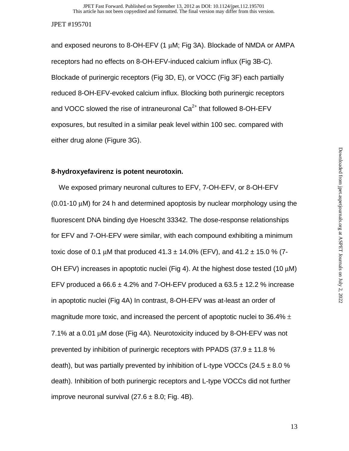and exposed neurons to 8-OH-EFV (1 μM; Fig 3A). Blockade of NMDA or AMPA receptors had no effects on 8-OH-EFV-induced calcium influx (Fig 3B-C). Blockade of purinergic receptors (Fig 3D, E), or VOCC (Fig 3F) each partially reduced 8-OH-EFV-evoked calcium influx. Blocking both purinergic receptors and VOCC slowed the rise of intraneuronal  $Ca<sup>2+</sup>$  that followed 8-OH-EFV exposures, but resulted in a similar peak level within 100 sec. compared with either drug alone (Figure 3G).

## **8-hydroxyefavirenz is potent neurotoxin.**

We exposed primary neuronal cultures to EFV, 7-OH-EFV, or 8-OH-EFV (0.01-10 μM) for 24 h and determined apoptosis by nuclear morphology using the fluorescent DNA binding dye Hoescht 33342. The dose-response relationships for EFV and 7-OH-EFV were similar, with each compound exhibiting a minimum toxic dose of 0.1 μM that produced  $41.3 \pm 14.0\%$  (EFV), and  $41.2 \pm 15.0\%$  (7-OH EFV) increases in apoptotic nuclei (Fig 4). At the highest dose tested (10 μM) EFV produced a  $66.6 \pm 4.2\%$  and 7-OH-EFV produced a  $63.5 \pm 12.2\%$  increase in apoptotic nuclei (Fig 4A) In contrast, 8-OH-EFV was at-least an order of magnitude more toxic, and increased the percent of apoptotic nuclei to 36.4%  $\pm$ 7.1% at a 0.01 μM dose (Fig 4A). Neurotoxicity induced by 8-OH-EFV was not prevented by inhibition of purinergic receptors with PPADS  $(37.9 \pm 11.8 \%)$ death), but was partially prevented by inhibition of L-type VOCCs (24.5  $\pm$  8.0 % death). Inhibition of both purinergic receptors and L-type VOCCs did not further improve neuronal survival (27.6  $\pm$  8.0; Fig. 4B).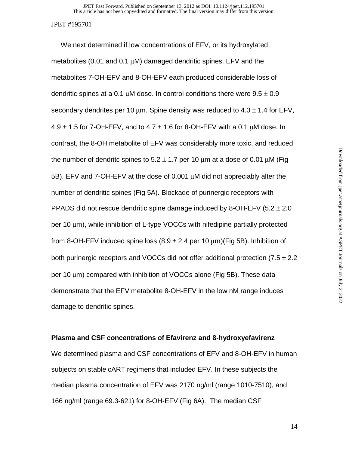We next determined if low concentrations of EFV, or its hydroxylated metabolites (0.01 and 0.1 μM) damaged dendritic spines. EFV and the metabolites 7-OH-EFV and 8-OH-EFV each produced considerable loss of dendritic spines at a 0.1  $\mu$ M dose. In control conditions there were  $9.5 \pm 0.9$ secondary dendrites per 10  $\mu$ m. Spine density was reduced to 4.0  $\pm$  1.4 for EFV,  $4.9 \pm 1.5$  for 7-OH-EFV, and to  $4.7 \pm 1.6$  for 8-OH-EFV with a 0.1  $\mu$ M dose. In contrast, the 8-OH metabolite of EFV was considerably more toxic, and reduced the number of dendritc spines to  $5.2 \pm 1.7$  per 10  $\mu$ m at a dose of 0.01  $\mu$ M (Fig 5B). EFV and 7-OH-EFV at the dose of 0.001 μM did not appreciably alter the number of dendritic spines (Fig 5A). Blockade of purinergic receptors with PPADS did not rescue dendritic spine damage induced by 8-OH-EFV (5.2  $\pm$  2.0 per 10 μm), while inhibition of L-type VOCCs with nifedipine partially protected from 8-OH-EFV induced spine loss  $(8.9 \pm 2.4$  per 10  $\mu$ m)(Fig 5B). Inhibition of both purinergic receptors and VOCCs did not offer additional protection  $(7.5 \pm 2.2)$ per 10 μm) compared with inhibition of VOCCs alone (Fig 5B). These data demonstrate that the EFV metabolite 8-OH-EFV in the low nM range induces damage to dendritic spines.

## **Plasma and CSF concentrations of Efavirenz and 8-hydroxyefavirenz**

We determined plasma and CSF concentrations of EFV and 8-OH-EFV in human subjects on stable cART regimens that included EFV. In these subjects the median plasma concentration of EFV was 2170 ng/ml (range 1010-7510), and 166 ng/ml (range 69.3-621) for 8-OH-EFV (Fig 6A). The median CSF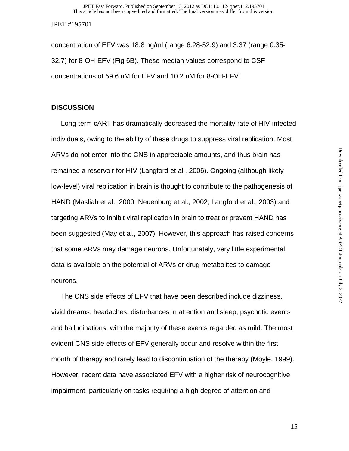concentration of EFV was 18.8 ng/ml (range 6.28-52.9) and 3.37 (range 0.35- 32.7) for 8-OH-EFV (Fig 6B). These median values correspond to CSF concentrations of 59.6 nM for EFV and 10.2 nM for 8-OH-EFV.

## **DISCUSSION**

 Long-term cART has dramatically decreased the mortality rate of HIV-infected individuals, owing to the ability of these drugs to suppress viral replication. Most ARVs do not enter into the CNS in appreciable amounts, and thus brain has remained a reservoir for HIV (Langford et al., 2006). Ongoing (although likely low-level) viral replication in brain is thought to contribute to the pathogenesis of HAND (Masliah et al., 2000; Neuenburg et al., 2002; Langford et al., 2003) and targeting ARVs to inhibit viral replication in brain to treat or prevent HAND has been suggested (May et al., 2007). However, this approach has raised concerns that some ARVs may damage neurons. Unfortunately, very little experimental data is available on the potential of ARVs or drug metabolites to damage neurons.

 The CNS side effects of EFV that have been described include dizziness, vivid dreams, headaches, disturbances in attention and sleep, psychotic events and hallucinations, with the majority of these events regarded as mild. The most evident CNS side effects of EFV generally occur and resolve within the first month of therapy and rarely lead to discontinuation of the therapy (Moyle, 1999). However, recent data have associated EFV with a higher risk of neurocognitive impairment, particularly on tasks requiring a high degree of attention and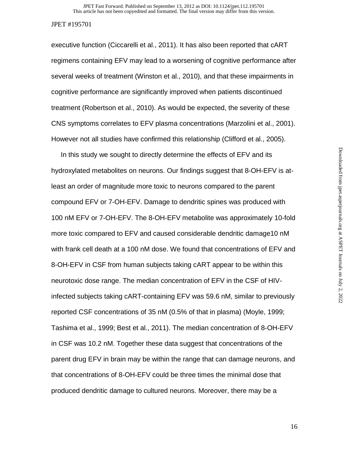executive function (Ciccarelli et al., 2011). It has also been reported that cART regimens containing EFV may lead to a worsening of cognitive performance after several weeks of treatment (Winston et al., 2010), and that these impairments in cognitive performance are significantly improved when patients discontinued treatment (Robertson et al., 2010). As would be expected, the severity of these CNS symptoms correlates to EFV plasma concentrations (Marzolini et al., 2001). However not all studies have confirmed this relationship (Clifford et al., 2005).

 In this study we sought to directly determine the effects of EFV and its hydroxylated metabolites on neurons. Our findings suggest that 8-OH-EFV is atleast an order of magnitude more toxic to neurons compared to the parent compound EFV or 7-OH-EFV. Damage to dendritic spines was produced with 100 nM EFV or 7-OH-EFV. The 8-OH-EFV metabolite was approximately 10-fold more toxic compared to EFV and caused considerable dendritic damage10 nM with frank cell death at a 100 nM dose. We found that concentrations of EFV and 8-OH-EFV in CSF from human subjects taking cART appear to be within this neurotoxic dose range. The median concentration of EFV in the CSF of HIVinfected subjects taking cART-containing EFV was 59.6 nM, similar to previously reported CSF concentrations of 35 nM (0.5% of that in plasma) (Moyle, 1999; Tashima et al., 1999; Best et al., 2011). The median concentration of 8-OH-EFV in CSF was 10.2 nM. Together these data suggest that concentrations of the parent drug EFV in brain may be within the range that can damage neurons, and that concentrations of 8-OH-EFV could be three times the minimal dose that produced dendritic damage to cultured neurons. Moreover, there may be a

16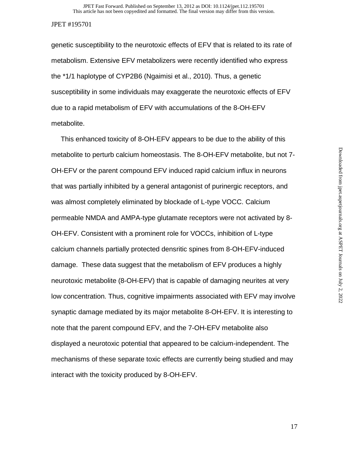genetic susceptibility to the neurotoxic effects of EFV that is related to its rate of metabolism. Extensive EFV metabolizers were recently identified who express the \*1/1 haplotype of CYP2B6 (Ngaimisi et al., 2010). Thus, a genetic susceptibility in some individuals may exaggerate the neurotoxic effects of EFV due to a rapid metabolism of EFV with accumulations of the 8-OH-EFV metabolite.

 This enhanced toxicity of 8-OH-EFV appears to be due to the ability of this metabolite to perturb calcium homeostasis. The 8-OH-EFV metabolite, but not 7- OH-EFV or the parent compound EFV induced rapid calcium influx in neurons that was partially inhibited by a general antagonist of purinergic receptors, and was almost completely eliminated by blockade of L-type VOCC. Calcium permeable NMDA and AMPA-type glutamate receptors were not activated by 8- OH-EFV. Consistent with a prominent role for VOCCs, inhibition of L-type calcium channels partially protected densritic spines from 8-OH-EFV-induced damage. These data suggest that the metabolism of EFV produces a highly neurotoxic metabolite (8-OH-EFV) that is capable of damaging neurites at very low concentration. Thus, cognitive impairments associated with EFV may involve synaptic damage mediated by its major metabolite 8-OH-EFV. It is interesting to note that the parent compound EFV, and the 7-OH-EFV metabolite also displayed a neurotoxic potential that appeared to be calcium-independent. The mechanisms of these separate toxic effects are currently being studied and may interact with the toxicity produced by 8-OH-EFV.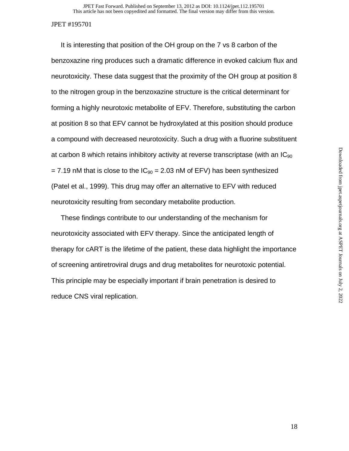It is interesting that position of the OH group on the 7 vs 8 carbon of the benzoxazine ring produces such a dramatic difference in evoked calcium flux and neurotoxicity. These data suggest that the proximity of the OH group at position 8 to the nitrogen group in the benzoxazine structure is the critical determinant for forming a highly neurotoxic metabolite of EFV. Therefore, substituting the carbon at position 8 so that EFV cannot be hydroxylated at this position should produce a compound with decreased neurotoxicity. Such a drug with a fluorine substituent at carbon 8 which retains inhibitory activity at reverse transcriptase (with an  $IC_{90}$  $= 7.19$  nM that is close to the  $IC_{90} = 2.03$  nM of EFV) has been synthesized (Patel et al., 1999). This drug may offer an alternative to EFV with reduced neurotoxicity resulting from secondary metabolite production.

 These findings contribute to our understanding of the mechanism for neurotoxicity associated with EFV therapy. Since the anticipated length of therapy for cART is the lifetime of the patient, these data highlight the importance of screening antiretroviral drugs and drug metabolites for neurotoxic potential. This principle may be especially important if brain penetration is desired to reduce CNS viral replication.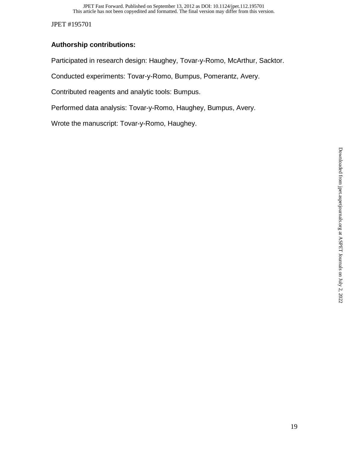# **Authorship contributions:**

Participated in research design: Haughey, Tovar-y-Romo, McArthur, Sacktor.

Conducted experiments: Tovar-y-Romo, Bumpus, Pomerantz, Avery.

Contributed reagents and analytic tools: Bumpus.

Performed data analysis: Tovar-y-Romo, Haughey, Bumpus, Avery.

Wrote the manuscript: Tovar-y-Romo, Haughey.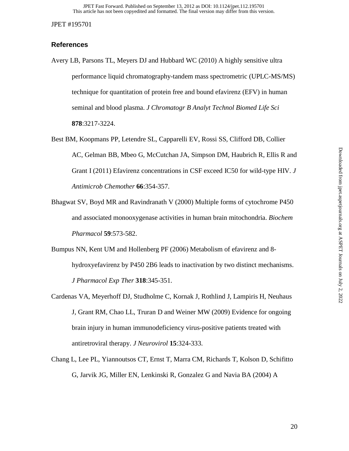## **References**

- Avery LB, Parsons TL, Meyers DJ and Hubbard WC (2010) A highly sensitive ultra performance liquid chromatography-tandem mass spectrometric (UPLC-MS/MS) technique for quantitation of protein free and bound efavirenz (EFV) in human seminal and blood plasma. *J Chromatogr B Analyt Technol Biomed Life Sci* **878**:3217-3224.
- Best BM, Koopmans PP, Letendre SL, Capparelli EV, Rossi SS, Clifford DB, Collier AC, Gelman BB, Mbeo G, McCutchan JA, Simpson DM, Haubrich R, Ellis R and Grant I (2011) Efavirenz concentrations in CSF exceed IC50 for wild-type HIV. *J Antimicrob Chemother* **66**:354-357.
- Bhagwat SV, Boyd MR and Ravindranath V (2000) Multiple forms of cytochrome P450 and associated monooxygenase activities in human brain mitochondria. *Biochem Pharmacol* **59**:573-582.
- Bumpus NN, Kent UM and Hollenberg PF (2006) Metabolism of efavirenz and 8 hydroxyefavirenz by P450 2B6 leads to inactivation by two distinct mechanisms. *J Pharmacol Exp Ther* **318**:345-351.
- Cardenas VA, Meyerhoff DJ, Studholme C, Kornak J, Rothlind J, Lampiris H, Neuhaus J, Grant RM, Chao LL, Truran D and Weiner MW (2009) Evidence for ongoing brain injury in human immunodeficiency virus-positive patients treated with antiretroviral therapy. *J Neurovirol* **15**:324-333.
- Chang L, Lee PL, Yiannoutsos CT, Ernst T, Marra CM, Richards T, Kolson D, Schifitto G, Jarvik JG, Miller EN, Lenkinski R, Gonzalez G and Navia BA (2004) A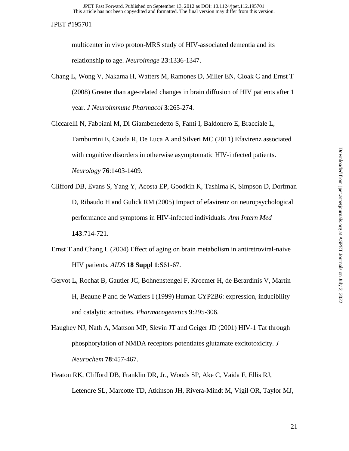multicenter in vivo proton-MRS study of HIV-associated dementia and its relationship to age. *Neuroimage* **23**:1336-1347.

Chang L, Wong V, Nakama H, Watters M, Ramones D, Miller EN, Cloak C and Ernst T (2008) Greater than age-related changes in brain diffusion of HIV patients after 1 year. *J Neuroimmune Pharmacol* **3**:265-274.

Ciccarelli N, Fabbiani M, Di Giambenedetto S, Fanti I, Baldonero E, Bracciale L, Tamburrini E, Cauda R, De Luca A and Silveri MC (2011) Efavirenz associated with cognitive disorders in otherwise asymptomatic HIV-infected patients. *Neurology* **76**:1403-1409.

- Clifford DB, Evans S, Yang Y, Acosta EP, Goodkin K, Tashima K, Simpson D, Dorfman D, Ribaudo H and Gulick RM (2005) Impact of efavirenz on neuropsychological performance and symptoms in HIV-infected individuals. *Ann Intern Med* **143**:714-721.
- Ernst T and Chang L (2004) Effect of aging on brain metabolism in antiretroviral-naive HIV patients. *AIDS* **18 Suppl 1**:S61-67.
- Gervot L, Rochat B, Gautier JC, Bohnenstengel F, Kroemer H, de Berardinis V, Martin H, Beaune P and de Waziers I (1999) Human CYP2B6: expression, inducibility and catalytic activities. *Pharmacogenetics* **9**:295-306.
- Haughey NJ, Nath A, Mattson MP, Slevin JT and Geiger JD (2001) HIV-1 Tat through phosphorylation of NMDA receptors potentiates glutamate excitotoxicity. *J Neurochem* **78**:457-467.
- Heaton RK, Clifford DB, Franklin DR, Jr., Woods SP, Ake C, Vaida F, Ellis RJ, Letendre SL, Marcotte TD, Atkinson JH, Rivera-Mindt M, Vigil OR, Taylor MJ,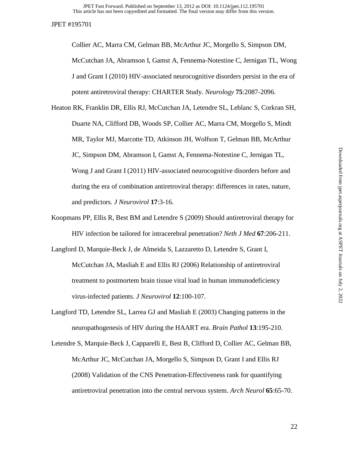Collier AC, Marra CM, Gelman BB, McArthur JC, Morgello S, Simpson DM, McCutchan JA, Abramson I, Gamst A, Fennema-Notestine C, Jernigan TL, Wong J and Grant I (2010) HIV-associated neurocognitive disorders persist in the era of potent antiretroviral therapy: CHARTER Study. *Neurology* **75**:2087-2096.

- Heaton RK, Franklin DR, Ellis RJ, McCutchan JA, Letendre SL, Leblanc S, Corkran SH, Duarte NA, Clifford DB, Woods SP, Collier AC, Marra CM, Morgello S, Mindt MR, Taylor MJ, Marcotte TD, Atkinson JH, Wolfson T, Gelman BB, McArthur JC, Simpson DM, Abramson I, Gamst A, Fennema-Notestine C, Jernigan TL, Wong J and Grant I (2011) HIV-associated neurocognitive disorders before and during the era of combination antiretroviral therapy: differences in rates, nature, and predictors. *J Neurovirol* **17**:3-16.
- Koopmans PP, Ellis R, Best BM and Letendre S (2009) Should antiretroviral therapy for HIV infection be tailored for intracerebral penetration? *Neth J Med* **67**:206-211.
- Langford D, Marquie-Beck J, de Almeida S, Lazzaretto D, Letendre S, Grant I, McCutchan JA, Masliah E and Ellis RJ (2006) Relationship of antiretroviral treatment to postmortem brain tissue viral load in human immunodeficiency virus-infected patients. *J Neurovirol* **12**:100-107.
- Langford TD, Letendre SL, Larrea GJ and Masliah E (2003) Changing patterns in the neuropathogenesis of HIV during the HAART era. *Brain Pathol* **13**:195-210.
- Letendre S, Marquie-Beck J, Capparelli E, Best B, Clifford D, Collier AC, Gelman BB, McArthur JC, McCutchan JA, Morgello S, Simpson D, Grant I and Ellis RJ (2008) Validation of the CNS Penetration-Effectiveness rank for quantifying antiretroviral penetration into the central nervous system. *Arch Neurol* **65**:65-70.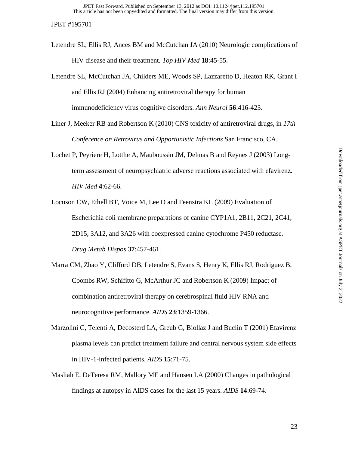- Letendre SL, Ellis RJ, Ances BM and McCutchan JA (2010) Neurologic complications of HIV disease and their treatment. *Top HIV Med* **18**:45-55.
- Letendre SL, McCutchan JA, Childers ME, Woods SP, Lazzaretto D, Heaton RK, Grant I and Ellis RJ (2004) Enhancing antiretroviral therapy for human immunodeficiency virus cognitive disorders. *Ann Neurol* **56**:416-423.
- Liner J, Meeker RB and Robertson K (2010) CNS toxicity of antiretroviral drugs, in *17th Conference on Retrovirus and Opportunistic Infections* San Francisco, CA.
- Lochet P, Peyriere H, Lotthe A, Mauboussin JM, Delmas B and Reynes J (2003) Longterm assessment of neuropsychiatric adverse reactions associated with efavirenz. *HIV Med* **4**:62-66.
- Locuson CW, Ethell BT, Voice M, Lee D and Feenstra KL (2009) Evaluation of Escherichia coli membrane preparations of canine CYP1A1, 2B11, 2C21, 2C41, 2D15, 3A12, and 3A26 with coexpressed canine cytochrome P450 reductase. *Drug Metab Dispos* **37**:457-461.
- Marra CM, Zhao Y, Clifford DB, Letendre S, Evans S, Henry K, Ellis RJ, Rodriguez B, Coombs RW, Schifitto G, McArthur JC and Robertson K (2009) Impact of combination antiretroviral therapy on cerebrospinal fluid HIV RNA and neurocognitive performance. *AIDS* **23**:1359-1366.
- Marzolini C, Telenti A, Decosterd LA, Greub G, Biollaz J and Buclin T (2001) Efavirenz plasma levels can predict treatment failure and central nervous system side effects in HIV-1-infected patients. *AIDS* **15**:71-75.
- Masliah E, DeTeresa RM, Mallory ME and Hansen LA (2000) Changes in pathological findings at autopsy in AIDS cases for the last 15 years. *AIDS* **14**:69-74.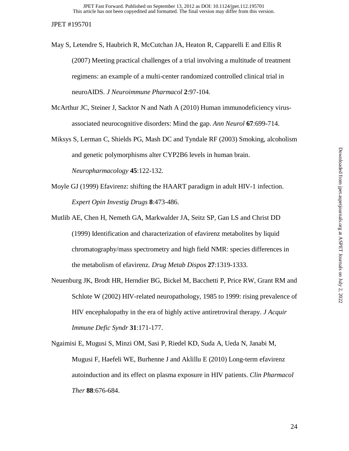May S, Letendre S, Haubrich R, McCutchan JA, Heaton R, Capparelli E and Ellis R (2007) Meeting practical challenges of a trial involving a multitude of treatment regimens: an example of a multi-center randomized controlled clinical trial in neuroAIDS. *J Neuroimmune Pharmacol* **2**:97-104.

McArthur JC, Steiner J, Sacktor N and Nath A (2010) Human immunodeficiency virusassociated neurocognitive disorders: Mind the gap. *Ann Neurol* **67**:699-714.

- Miksys S, Lerman C, Shields PG, Mash DC and Tyndale RF (2003) Smoking, alcoholism and genetic polymorphisms alter CYP2B6 levels in human brain. *Neuropharmacology* **45**:122-132.
- Moyle GJ (1999) Efavirenz: shifting the HAART paradigm in adult HIV-1 infection. *Expert Opin Investig Drugs* **8**:473-486.

Mutlib AE, Chen H, Nemeth GA, Markwalder JA, Seitz SP, Gan LS and Christ DD (1999) Identification and characterization of efavirenz metabolites by liquid chromatography/mass spectrometry and high field NMR: species differences in the metabolism of efavirenz. *Drug Metab Dispos* **27**:1319-1333.

Neuenburg JK, Brodt HR, Herndier BG, Bickel M, Bacchetti P, Price RW, Grant RM and Schlote W (2002) HIV-related neuropathology, 1985 to 1999: rising prevalence of HIV encephalopathy in the era of highly active antiretroviral therapy. *J Acquir Immune Defic Syndr* **31**:171-177.

Ngaimisi E, Mugusi S, Minzi OM, Sasi P, Riedel KD, Suda A, Ueda N, Janabi M, Mugusi F, Haefeli WE, Burhenne J and Aklillu E (2010) Long-term efavirenz autoinduction and its effect on plasma exposure in HIV patients. *Clin Pharmacol Ther* **88**:676-684.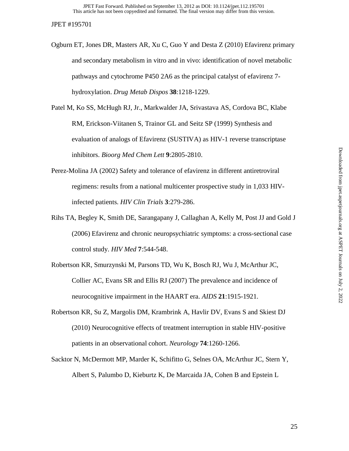Ogburn ET, Jones DR, Masters AR, Xu C, Guo Y and Desta Z (2010) Efavirenz primary and secondary metabolism in vitro and in vivo: identification of novel metabolic pathways and cytochrome P450 2A6 as the principal catalyst of efavirenz 7 hydroxylation. *Drug Metab Dispos* **38**:1218-1229.

Patel M, Ko SS, McHugh RJ, Jr., Markwalder JA, Srivastava AS, Cordova BC, Klabe RM, Erickson-Viitanen S, Trainor GL and Seitz SP (1999) Synthesis and evaluation of analogs of Efavirenz (SUSTIVA) as HIV-1 reverse transcriptase inhibitors. *Bioorg Med Chem Lett* **9**:2805-2810.

- Perez-Molina JA (2002) Safety and tolerance of efavirenz in different antiretroviral regimens: results from a national multicenter prospective study in 1,033 HIVinfected patients. *HIV Clin Trials* **3**:279-286.
- Rihs TA, Begley K, Smith DE, Sarangapany J, Callaghan A, Kelly M, Post JJ and Gold J (2006) Efavirenz and chronic neuropsychiatric symptoms: a cross-sectional case control study. *HIV Med* **7**:544-548.
- Robertson KR, Smurzynski M, Parsons TD, Wu K, Bosch RJ, Wu J, McArthur JC, Collier AC, Evans SR and Ellis RJ (2007) The prevalence and incidence of neurocognitive impairment in the HAART era. *AIDS* **21**:1915-1921.
- Robertson KR, Su Z, Margolis DM, Krambrink A, Havlir DV, Evans S and Skiest DJ (2010) Neurocognitive effects of treatment interruption in stable HIV-positive patients in an observational cohort. *Neurology* **74**:1260-1266.
- Sacktor N, McDermott MP, Marder K, Schifitto G, Selnes OA, McArthur JC, Stern Y, Albert S, Palumbo D, Kieburtz K, De Marcaida JA, Cohen B and Epstein L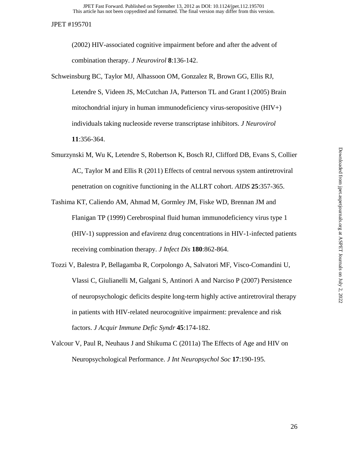(2002) HIV-associated cognitive impairment before and after the advent of combination therapy. *J Neurovirol* **8**:136-142.

- Schweinsburg BC, Taylor MJ, Alhassoon OM, Gonzalez R, Brown GG, Ellis RJ, Letendre S, Videen JS, McCutchan JA, Patterson TL and Grant I (2005) Brain mitochondrial injury in human immunodeficiency virus-seropositive (HIV+) individuals taking nucleoside reverse transcriptase inhibitors. *J Neurovirol* **11**:356-364.
- Smurzynski M, Wu K, Letendre S, Robertson K, Bosch RJ, Clifford DB, Evans S, Collier AC, Taylor M and Ellis R (2011) Effects of central nervous system antiretroviral penetration on cognitive functioning in the ALLRT cohort. *AIDS* **25**:357-365.
- Tashima KT, Caliendo AM, Ahmad M, Gormley JM, Fiske WD, Brennan JM and Flanigan TP (1999) Cerebrospinal fluid human immunodeficiency virus type 1 (HIV-1) suppression and efavirenz drug concentrations in HIV-1-infected patients receiving combination therapy. *J Infect Dis* **180**:862-864.
- Tozzi V, Balestra P, Bellagamba R, Corpolongo A, Salvatori MF, Visco-Comandini U, Vlassi C, Giulianelli M, Galgani S, Antinori A and Narciso P (2007) Persistence of neuropsychologic deficits despite long-term highly active antiretroviral therapy in patients with HIV-related neurocognitive impairment: prevalence and risk factors. *J Acquir Immune Defic Syndr* **45**:174-182.
- Valcour V, Paul R, Neuhaus J and Shikuma C (2011a) The Effects of Age and HIV on Neuropsychological Performance. *J Int Neuropsychol Soc* **17**:190-195.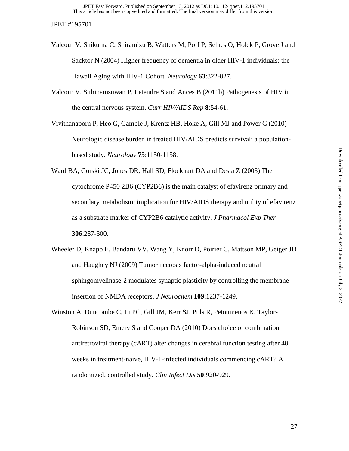- Valcour V, Shikuma C, Shiramizu B, Watters M, Poff P, Selnes O, Holck P, Grove J and Sacktor N (2004) Higher frequency of dementia in older HIV-1 individuals: the Hawaii Aging with HIV-1 Cohort. *Neurology* **63**:822-827.
- Valcour V, Sithinamsuwan P, Letendre S and Ances B (2011b) Pathogenesis of HIV in the central nervous system. *Curr HIV/AIDS Rep* **8**:54-61.

Vivithanaporn P, Heo G, Gamble J, Krentz HB, Hoke A, Gill MJ and Power C (2010) Neurologic disease burden in treated HIV/AIDS predicts survival: a populationbased study. *Neurology* **75**:1150-1158.

Ward BA, Gorski JC, Jones DR, Hall SD, Flockhart DA and Desta Z (2003) The cytochrome P450 2B6 (CYP2B6) is the main catalyst of efavirenz primary and secondary metabolism: implication for HIV/AIDS therapy and utility of efavirenz as a substrate marker of CYP2B6 catalytic activity. *J Pharmacol Exp Ther* **306**:287-300.

- Wheeler D, Knapp E, Bandaru VV, Wang Y, Knorr D, Poirier C, Mattson MP, Geiger JD and Haughey NJ (2009) Tumor necrosis factor-alpha-induced neutral sphingomyelinase-2 modulates synaptic plasticity by controlling the membrane insertion of NMDA receptors. *J Neurochem* **109**:1237-1249.
- Winston A, Duncombe C, Li PC, Gill JM, Kerr SJ, Puls R, Petoumenos K, Taylor-Robinson SD, Emery S and Cooper DA (2010) Does choice of combination antiretroviral therapy (cART) alter changes in cerebral function testing after 48 weeks in treatment-naive, HIV-1-infected individuals commencing cART? A randomized, controlled study. *Clin Infect Dis* **50**:920-929.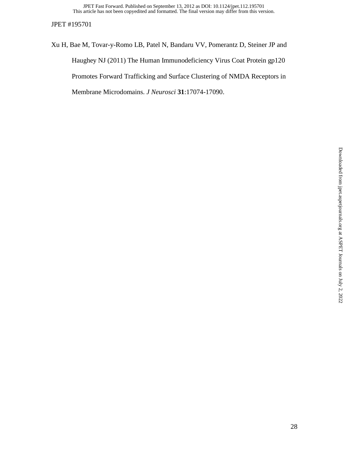This article has not been copyedited and formatted. The final version may differ from this version. JPET Fast Forward. Published on September 13, 2012 as DOI: 10.1124/jpet.112.195701

JPET #195701

Xu H, Bae M, Tovar-y-Romo LB, Patel N, Bandaru VV, Pomerantz D, Steiner JP and Haughey NJ (2011) The Human Immunodeficiency Virus Coat Protein gp120 Promotes Forward Trafficking and Surface Clustering of NMDA Receptors in Membrane Microdomains. *J Neurosci* **31**:17074-17090.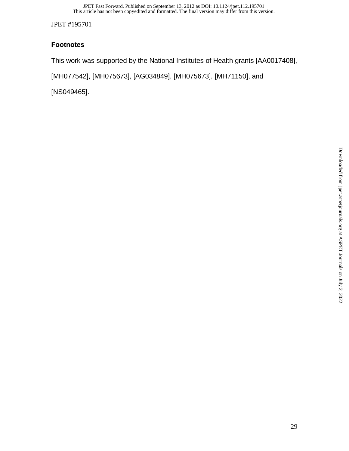# **Footnotes**

This work was supported by the National Institutes of Health grants [AA0017408],

[MH077542], [MH075673], [AG034849], [MH075673], [MH71150], and

[NS049465].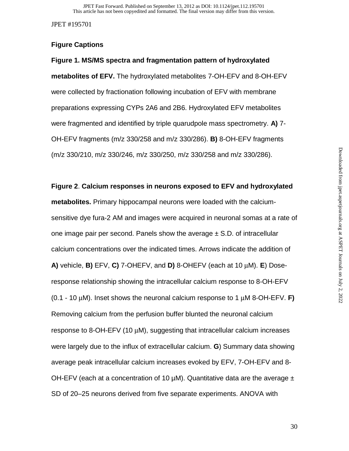# **Figure Captions**

**Figure 1. MS/MS spectra and fragmentation pattern of hydroxylated metabolites of EFV.** The hydroxylated metabolites 7-OH-EFV and 8-OH-EFV were collected by fractionation following incubation of EFV with membrane preparations expressing CYPs 2A6 and 2B6. Hydroxylated EFV metabolites were fragmented and identified by triple quarudpole mass spectrometry. **A)** 7- OH-EFV fragments (m/z 330/258 and m/z 330/286). **B)** 8-OH-EFV fragments (m/z 330/210, m/z 330/246, m/z 330/250, m/z 330/258 and m/z 330/286).

# **Figure 2**. **Calcium responses in neurons exposed to EFV and hydroxylated**

**metabolites.** Primary hippocampal neurons were loaded with the calciumsensitive dye fura-2 AM and images were acquired in neuronal somas at a rate of one image pair per second. Panels show the average  $\pm$  S.D. of intracellular calcium concentrations over the indicated times. Arrows indicate the addition of **A)** vehicle, **B)** EFV, **C)** 7-OHEFV, and **D)** 8-OHEFV (each at 10 μM). **E**) Doseresponse relationship showing the intracellular calcium response to 8-OH-EFV (0.1 - 10 μM). Inset shows the neuronal calcium response to 1 μM 8-OH-EFV. **F)** Removing calcium from the perfusion buffer blunted the neuronal calcium response to 8-OH-EFV (10 μM), suggesting that intracellular calcium increases were largely due to the influx of extracellular calcium. **G**) Summary data showing average peak intracellular calcium increases evoked by EFV, 7-OH-EFV and 8- OH-EFV (each at a concentration of 10  $\mu$ M). Quantitative data are the average  $\pm$ SD of 20–25 neurons derived from five separate experiments. ANOVA with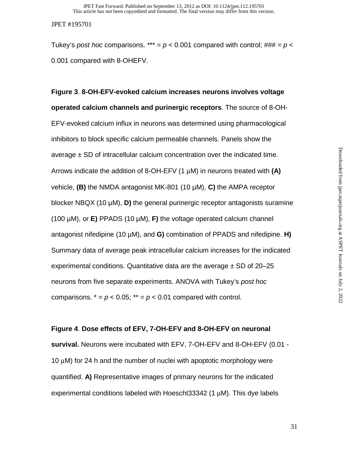Tukey's *post hoc* comparisons. \*\*\* =  $p < 0.001$  compared with control;  $\# \# \# = p <$ 0.001 compared with 8-OHEFV.

# **Figure 3**. **8-OH-EFV-evoked calcium increases neurons involves voltage operated calcium channels and purinergic receptors**. The source of 8-OH-EFV-evoked calcium influx in neurons was determined using pharmacological inhibitors to block specific calcium permeable channels. Panels show the average  $\pm$  SD of intracellular calcium concentration over the indicated time. Arrows indicate the addition of 8-OH-EFV (1 μM) in neurons treated with **(A)**  vehicle, **(B)** the NMDA antagonist MK-801 (10 µM), **C)** the AMPA receptor blocker NBQX (10 µM), **D)** the general purinergic receptor antagonists suramine (100 µM), or **E)** PPADS (10 µM), **F)** the voltage operated calcium channel antagonist nifedipine (10 µM), and **G)** combination of PPADS and nifedipine. **H)** Summary data of average peak intracellular calcium increases for the indicated experimental conditions. Quantitative data are the average  $\pm$  SD of 20–25 neurons from five separate experiments. ANOVA with Tukey's *post hoc*  comparisons.  $* = p < 0.05$ ;  $** = p < 0.01$  compared with control.

## **Figure 4**. **Dose effects of EFV, 7-OH-EFV and 8-OH-EFV on neuronal**

**survival.** Neurons were incubated with EFV, 7-OH-EFV and 8-OH-EFV (0.01 - 10 μM) for 24 h and the number of nuclei with apoptotic morphology were quantified. **A)** Representative images of primary neurons for the indicated experimental conditions labeled with Hoescht33342 (1 μM). This dye labels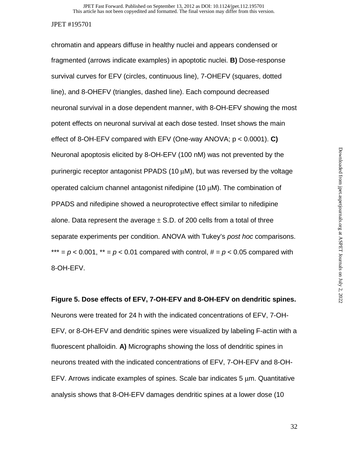chromatin and appears diffuse in healthy nuclei and appears condensed or fragmented (arrows indicate examples) in apoptotic nuclei. **B)** Dose-response survival curves for EFV (circles, continuous line), 7-OHEFV (squares, dotted line), and 8-OHEFV (triangles, dashed line). Each compound decreased neuronal survival in a dose dependent manner, with 8-OH-EFV showing the most potent effects on neuronal survival at each dose tested. Inset shows the main effect of 8-OH-EFV compared with EFV (One-way ANOVA; p < 0.0001). **C)** Neuronal apoptosis elicited by 8-OH-EFV (100 nM) was not prevented by the purinergic receptor antagonist PPADS (10 μM), but was reversed by the voltage operated calcium channel antagonist nifedipine (10 μM). The combination of PPADS and nifedipine showed a neuroprotective effect similar to nifedipine alone. Data represent the average  $\pm$  S.D. of 200 cells from a total of three separate experiments per condition. ANOVA with Tukey's *post hoc* comparisons. \*\*\*  $= p < 0.001$ , \*\*  $= p < 0.01$  compared with control,  $\# = p < 0.05$  compared with 8-OH-EFV.

**Figure 5. Dose effects of EFV, 7-OH-EFV and 8-OH-EFV on dendritic spines.** Neurons were treated for 24 h with the indicated concentrations of EFV, 7-OH-EFV, or 8-OH-EFV and dendritic spines were visualized by labeling F-actin with a fluorescent phalloidin. **A)** Micrographs showing the loss of dendritic spines in neurons treated with the indicated concentrations of EFV, 7-OH-EFV and 8-OH-EFV. Arrows indicate examples of spines. Scale bar indicates 5 μm. Quantitative analysis shows that 8-OH-EFV damages dendritic spines at a lower dose (10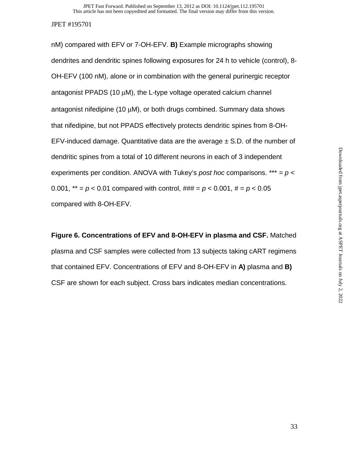nM) compared with EFV or 7-OH-EFV. **B)** Example micrographs showing dendrites and dendritic spines following exposures for 24 h to vehicle (control), 8- OH-EFV (100 nM), alone or in combination with the general purinergic receptor antagonist PPADS (10 μM), the L-type voltage operated calcium channel antagonist nifedipine (10 μM), or both drugs combined. Summary data shows that nifedipine, but not PPADS effectively protects dendritic spines from 8-OH-EFV-induced damage. Quantitative data are the average  $\pm$  S.D. of the number of dendritic spines from a total of 10 different neurons in each of 3 independent experiments per condition. ANOVA with Tukey's *post hoc* comparisons. \*\*\* = *p* < 0.001,  $^{**} = p < 0.01$  compared with control,  $\# \# \# = p < 0.001$ ,  $\# = p < 0.05$ compared with 8-OH-EFV.

**Figure 6. Concentrations of EFV and 8-OH-EFV in plasma and CSF.** Matched plasma and CSF samples were collected from 13 subjects taking cART regimens that contained EFV. Concentrations of EFV and 8-OH-EFV in **A)** plasma and **B)** CSF are shown for each subject. Cross bars indicates median concentrations.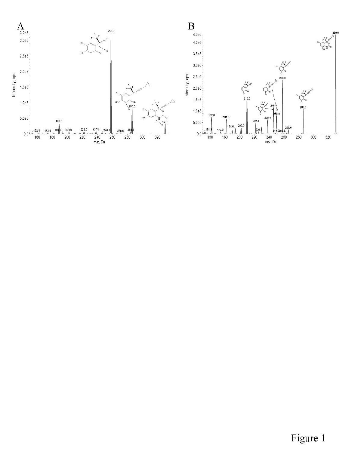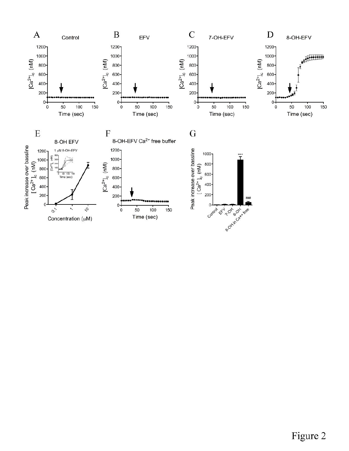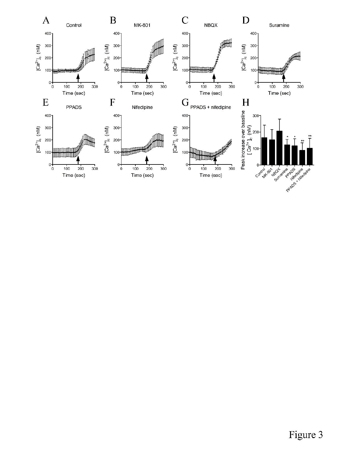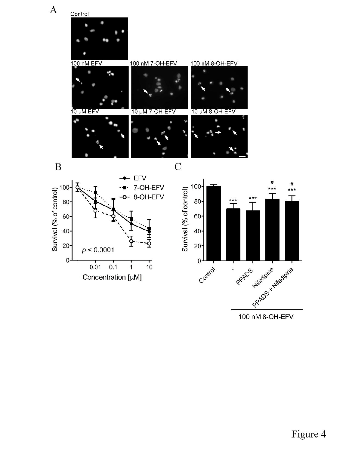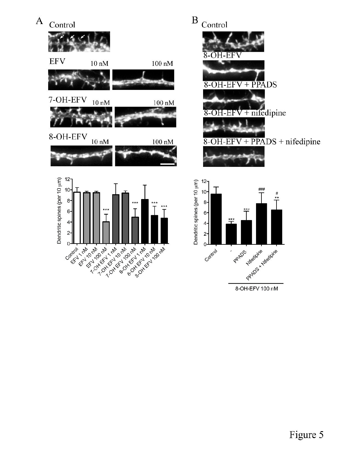